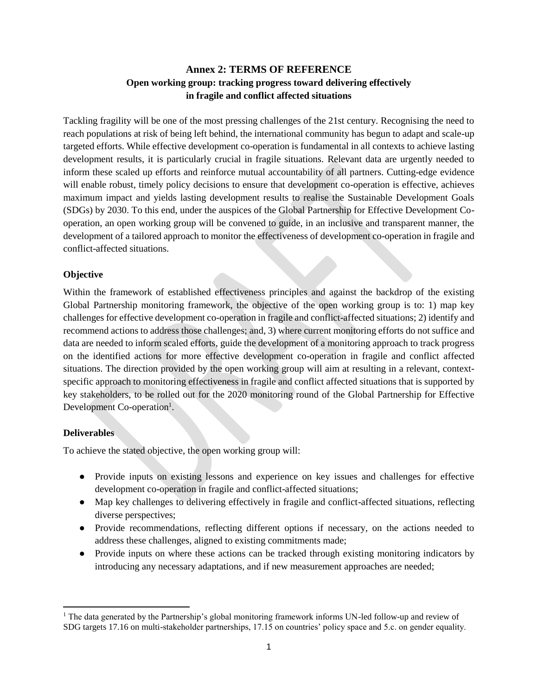# **Annex 2: TERMS OF REFERENCE Open working group: tracking progress toward delivering effectively in fragile and conflict affected situations**

Tackling fragility will be one of the most pressing challenges of the 21st century. Recognising the need to reach populations at risk of being left behind, the international community has begun to adapt and scale-up targeted efforts. While effective development co-operation is fundamental in all contexts to achieve lasting development results, it is particularly crucial in fragile situations. Relevant data are urgently needed to inform these scaled up efforts and reinforce mutual accountability of all partners. Cutting-edge evidence will enable robust, timely policy decisions to ensure that development co-operation is effective, achieves maximum impact and yields lasting development results to realise the Sustainable Development Goals (SDGs) by 2030. To this end, under the auspices of the Global Partnership for Effective Development Cooperation, an open working group will be convened to guide, in an inclusive and transparent manner, the development of a tailored approach to monitor the effectiveness of development co-operation in fragile and conflict-affected situations.

#### **Objective**

Within the framework of established effectiveness principles and against the backdrop of the existing Global Partnership monitoring framework, the objective of the open working group is to: 1) map key challenges for effective development co-operation in fragile and conflict-affected situations; 2) identify and recommend actions to address those challenges; and, 3) where current monitoring efforts do not suffice and data are needed to inform scaled efforts, guide the development of a monitoring approach to track progress on the identified actions for more effective development co-operation in fragile and conflict affected situations. The direction provided by the open working group will aim at resulting in a relevant, contextspecific approach to monitoring effectiveness in fragile and conflict affected situations that is supported by key stakeholders, to be rolled out for the 2020 monitoring round of the Global Partnership for Effective Development Co-operation<sup>1</sup>.

#### **Deliverables**

 $\overline{a}$ 

To achieve the stated objective, the open working group will:

- Provide inputs on existing lessons and experience on key issues and challenges for effective development co-operation in fragile and conflict-affected situations;
- Map key challenges to delivering effectively in fragile and conflict-affected situations, reflecting diverse perspectives;
- Provide recommendations, reflecting different options if necessary, on the actions needed to address these challenges, aligned to existing commitments made;
- Provide inputs on where these actions can be tracked through existing monitoring indicators by introducing any necessary adaptations, and if new measurement approaches are needed;

<sup>&</sup>lt;sup>1</sup> The data generated by the Partnership's global monitoring framework informs UN-led follow-up and review of SDG targets 17.16 on multi-stakeholder partnerships, 17.15 on countries' policy space and 5.c. on gender equality.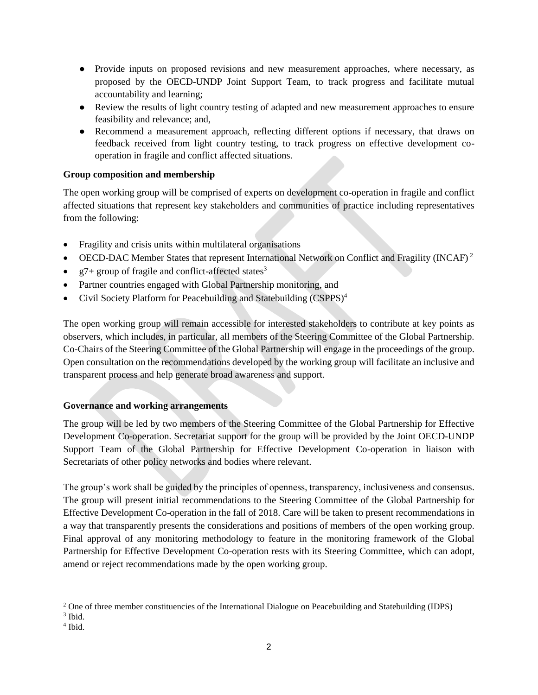- Provide inputs on proposed revisions and new measurement approaches, where necessary, as proposed by the OECD-UNDP Joint Support Team, to track progress and facilitate mutual accountability and learning;
- Review the results of light country testing of adapted and new measurement approaches to ensure feasibility and relevance; and,
- Recommend a measurement approach, reflecting different options if necessary, that draws on feedback received from light country testing, to track progress on effective development cooperation in fragile and conflict affected situations.

#### **Group composition and membership**

The open working group will be comprised of experts on development co-operation in fragile and conflict affected situations that represent key stakeholders and communities of practice including representatives from the following:

- Fragility and crisis units within multilateral organisations
- OECD-DAC Member States that represent International Network on Conflict and Fragility (INCAF)<sup>2</sup>
- $g7+$  group of fragile and conflict-affected states<sup>3</sup>
- Partner countries engaged with Global Partnership monitoring, and
- Civil Society Platform for Peacebuilding and Statebuilding (CSPPS)<sup>4</sup>

The open working group will remain accessible for interested stakeholders to contribute at key points as observers, which includes, in particular, all members of the Steering Committee of the Global Partnership. Co-Chairs of the Steering Committee of the Global Partnership will engage in the proceedings of the group. Open consultation on the recommendations developed by the working group will facilitate an inclusive and transparent process and help generate broad awareness and support.

# **Governance and working arrangements**

The group will be led by two members of the Steering Committee of the Global Partnership for Effective Development Co-operation. Secretariat support for the group will be provided by the Joint OECD-UNDP Support Team of the Global Partnership for Effective Development Co-operation in liaison with Secretariats of other policy networks and bodies where relevant.

The group's work shall be guided by the principles of openness, transparency, inclusiveness and consensus. The group will present initial recommendations to the Steering Committee of the Global Partnership for Effective Development Co-operation in the fall of 2018. Care will be taken to present recommendations in a way that transparently presents the considerations and positions of members of the open working group. Final approval of any monitoring methodology to feature in the monitoring framework of the Global Partnership for Effective Development Co-operation rests with its Steering Committee, which can adopt, amend or reject recommendations made by the open working group.

 $\overline{\phantom{a}}$ <sup>2</sup> One of three member constituencies of the International Dialogue on Peacebuilding and Statebuilding (IDPS)

<sup>3</sup> Ibid.

<sup>4</sup> Ibid.